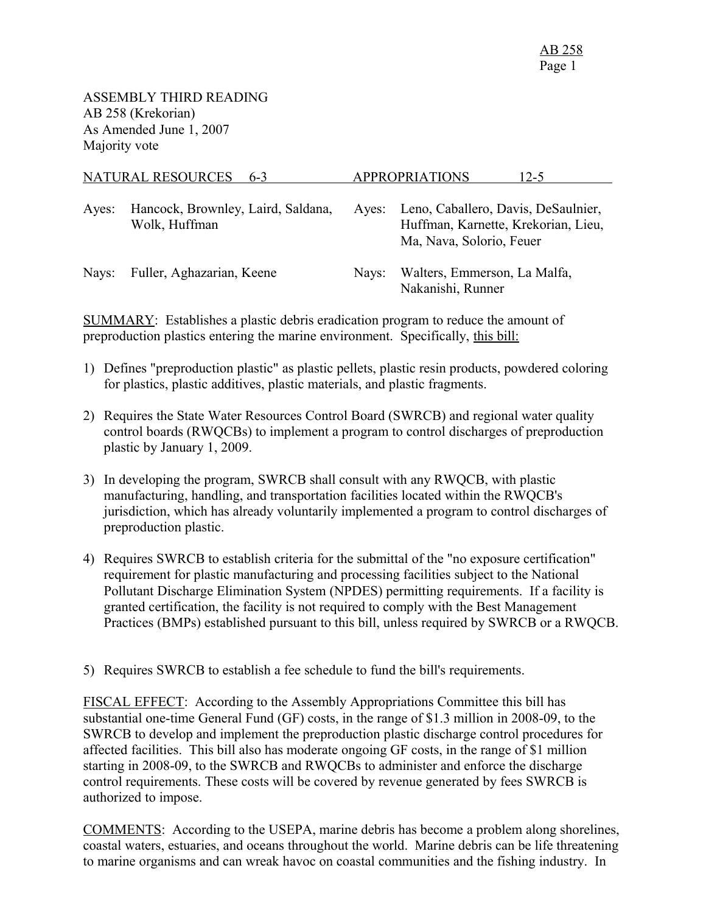|       | NATURAL RESOURCES<br>$6-3$                          |       | <b>APPROPRIATIONS</b><br>12-5                                                                          |
|-------|-----------------------------------------------------|-------|--------------------------------------------------------------------------------------------------------|
| Ayes: | Hancock, Brownley, Laird, Saldana,<br>Wolk, Huffman | Ayes: | Leno, Caballero, Davis, DeSaulnier,<br>Huffman, Karnette, Krekorian, Lieu,<br>Ma, Nava, Solorio, Feuer |
| Nays: | Fuller, Aghazarian, Keene                           | Navs: | Walters, Emmerson, La Malfa,<br>Nakanishi, Runner                                                      |

SUMMARY: Establishes a plastic debris eradication program to reduce the amount of preproduction plastics entering the marine environment. Specifically, this bill:

- 1) Defines "preproduction plastic" as plastic pellets, plastic resin products, powdered coloring for plastics, plastic additives, plastic materials, and plastic fragments.
- 2) Requires the State Water Resources Control Board (SWRCB) and regional water quality control boards (RWQCBs) to implement a program to control discharges of preproduction plastic by January 1, 2009.
- 3) In developing the program, SWRCB shall consult with any RWQCB, with plastic manufacturing, handling, and transportation facilities located within the RWQCB's jurisdiction, which has already voluntarily implemented a program to control discharges of preproduction plastic.
- 4) Requires SWRCB to establish criteria for the submittal of the "no exposure certification" requirement for plastic manufacturing and processing facilities subject to the National Pollutant Discharge Elimination System (NPDES) permitting requirements. If a facility is granted certification, the facility is not required to comply with the Best Management Practices (BMPs) established pursuant to this bill, unless required by SWRCB or a RWQCB.
- 5) Requires SWRCB to establish a fee schedule to fund the bill's requirements.

FISCAL EFFECT: According to the Assembly Appropriations Committee this bill has substantial one-time General Fund (GF) costs, in the range of \$1.3 million in 2008-09, to the SWRCB to develop and implement the preproduction plastic discharge control procedures for affected facilities. This bill also has moderate ongoing GF costs, in the range of \$1 million starting in 2008-09, to the SWRCB and RWQCBs to administer and enforce the discharge control requirements. These costs will be covered by revenue generated by fees SWRCB is authorized to impose.

COMMENTS: According to the USEPA, marine debris has become a problem along shorelines, coastal waters, estuaries, and oceans throughout the world. Marine debris can be life threatening to marine organisms and can wreak havoc on coastal communities and the fishing industry. In